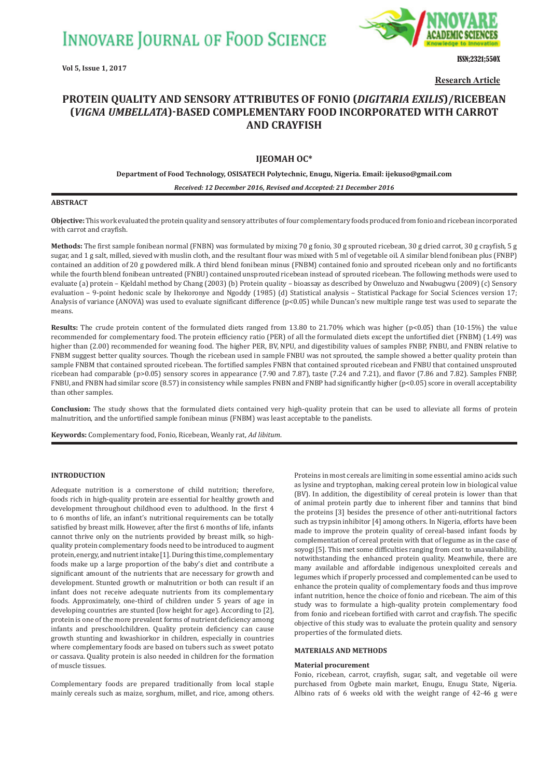**INNOVARE JOURNAL OF FOOD SCIENCE** 

**Vol 5, Issue 1, 2017**



ISSN;2321;550X

**Research Article**

# **PROTEIN QUALITY AND SENSORY ATTRIBUTES OF FONIO (DIGITARIA EXILIS)/RICEBEAN ȍ***VIGNA UMBELLATA***ȎǧBASED COMPLEMENTARY FOOD INCORPORATED WITH CARROT AND CRAYFISH**

# **IJEOMAH OC\***

## **Department of Food Technology, OSISATECH Polytechnic, Enugu, Nigeria. Email: ijekuso@gmail.com**

*Received: 12 December 2016, Revised and Accepted: 21 December 2016*

## **ABSTRACT**

**Objective:** This work evaluated the protein quality and sensory attributes of four complementary foods produced from fonio and ricebean incorporated with carrot and crayfish.

**Methods:** The first sample fonibean normal (FNBN) was formulated by mixing 70 g fonio, 30 g sprouted ricebean, 30 g dried carrot, 30 g crayfish, 5 g sugar, and 1 g salt, milled, sieved with muslin cloth, and the resultant flour was mixed with 5 ml of vegetable oil. A similar blend fonibean plus (FNBP) contained an addition of 20 g powdered milk. A third blend fonibean minus (FNBM) contained fonio and sprouted ricebean only and no fortificants while the fourth blend fonibean untreated (FNBU) contained unsprouted ricebean instead of sprouted ricebean. The following methods were used to evaluate (a) protein – Kjeldahl method by Chang (2003) (b) Protein quality – bioassay as described by Onweluzo and Nwabugwu (2009) (c) Sensory evaluation – 9-point hedonic scale by Ihekoronye and Ngoddy (1985) (d) Statistical analysis – Statistical Package for Social Sciences version 17; Analysis of variance (ANOVA) was used to evaluate significant difference (p<0.05) while Duncan's new multiple range test was used to separate the means.

**Results:** The crude protein content of the formulated diets ranged from 13.80 to 21.70% which was higher (p<0.05) than (10-15%) the value recommended for complementary food. The protein efficiency ratio (PER) of all the formulated diets except the unfortified diet (FNBM) (1.49) was higher than (2.00) recommended for weaning food. The higher PER, BV, NPU, and digestibility values of samples FNBP, FNBU, and FNBN relative to FNBM suggest better quality sources. Though the ricebean used in sample FNBU was not sprouted, the sample showed a better quality protein than sample FNBM that contained sprouted ricebean. The fortified samples FNBN that contained sprouted ricebean and FNBU that contained unsprouted ricebean had comparable (p>0.05) sensory scores in appearance (7.90 and 7.87), taste (7.24 and 7.21), and flavor (7.86 and 7.82). Samples FNBP, FNBU, and FNBN had similar score (8.57) in consistency while samples FNBN and FNBP had significantly higher (p<0.05) score in overall acceptability than other samples.

**Conclusion:** The study shows that the formulated diets contained very high-quality protein that can be used to alleviate all forms of protein malnutrition, and the unfortified sample fonibean minus (FNBM) was least acceptable to the panelists.

**Keywords:** Complementary food, Fonio, Ricebean, Weanly rat, *Ad libitum*.

## **INTRODUCTION**

Adequate nutrition is a cornerstone of child nutrition; therefore, foods rich in high-quality protein are essential for healthy growth and development throughout childhood even to adulthood. In the first 4 to 6 months of life, an infant's nutritional requirements can be totally satisfied by breast milk. However, after the first 6 months of life, infants cannot thrive only on the nutrients provided by breast milk, so highquality protein complementary foods need to be introduced to augment protein, energy, and nutrient intake [1]. During this time, complementary foods make up a large proportion of the baby's diet and contribute a significant amount of the nutrients that are necessary for growth and development. Stunted growth or malnutrition or both can result if an infant does not receive adequate nutrients from its complementary foods. Approximately, one-third of children under 5 years of age in developing countries are stunted (low height for age). According to [2], protein is one of the more prevalent forms of nutrient deficiency among infants and preschoolchildren. Quality protein deficiency can cause growth stunting and kwashiorkor in children, especially in countries where complementary foods are based on tubers such as sweet potato or cassava. Quality protein is also needed in children for the formation of muscle tissues.

Complementary foods are prepared traditionally from local staple mainly cereals such as maize, sorghum, millet, and rice, among others. Proteins in most cereals are limiting in some essential amino acids such as lysine and tryptophan, making cereal protein low in biological value (BV). In addition, the digestibility of cereal protein is lower than that of animal protein partly due to inherent fiber and tannins that bind the proteins [3] besides the presence of other anti-nutritional factors such as trypsin inhibitor [4] among others. In Nigeria, efforts have been made to improve the protein quality of cereal-based infant foods by complementation of cereal protein with that of legume as in the case of soyogi [5]. This met some difficulties ranging from cost to unavailability, notwithstanding the enhanced protein quality. Meanwhile, there are many available and affordable indigenous unexploited cereals and legumes which if properly processed and complemented can be used to enhance the protein quality of complementary foods and thus improve infant nutrition, hence the choice of fonio and ricebean. The aim of this study was to formulate a high-quality protein complementary food from fonio and ricebean fortified with carrot and crayfish. The specific objective of this study was to evaluate the protein quality and sensory properties of the formulated diets.

#### **MATERIALS AND METHODS**

#### **Material procurement**

Fonio, ricebean, carrot, crayfish, sugar, salt, and vegetable oil were purchased from Ogbete main market, Enugu, Enugu State, Nigeria. Albino rats of 6 weeks old with the weight range of 42-46 g were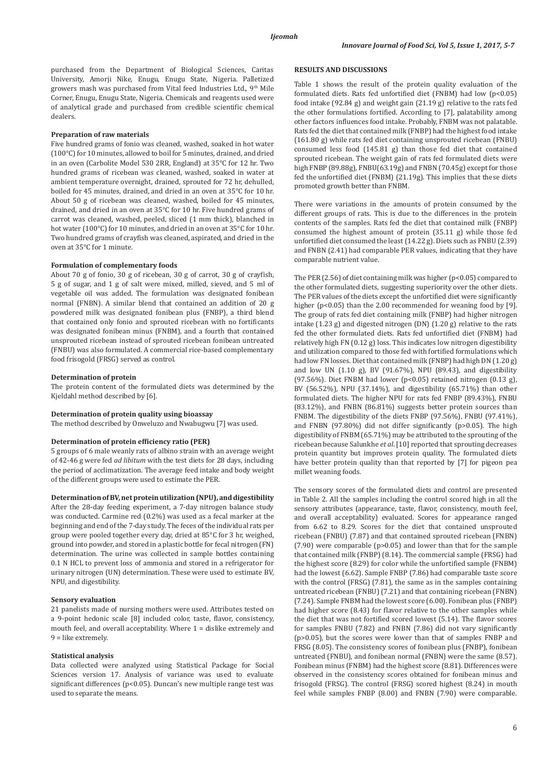purchased from the Department of Biological Sciences, Caritas University, Amorji Nike, Enugu, Enugu State, Nigeria. Palletized growers mash was purchased from Vital feed Industries Ltd., 9th Mile Corner, Enugu, Enugu State, Nigeria. Chemicals and reagents used were of analytical grade and purchased from credible scientific chemical dealers.

#### **Preparation of raw materials**

Five hundred grams of fonio was cleaned, washed, soaked in hot water (100°C) for 10 minutes, allowed to boil for 5 minutes, drained, and dried in an oven (Carbolite Model 530 2RR, England) at 35°C for 12 hr. Two hundred grams of ricebean was cleaned, washed, soaked in water at ambient temperature overnight, drained, sprouted for 72 hr, dehulled, boiled for 45 minutes, drained, and dried in an oven at 35°C for 10 hr. About 50 g of ricebean was cleaned, washed, boiled for 45 minutes, drained, and dried in an oven at 35°C for 10 hr. Five hundred grams of carrot was cleaned, washed, peeled, sliced (1 mm thick), blanched in hot water (100°C) for 10 minutes, and dried in an oven at 35°C for 10 hr. Two hundred grams of crayfish was cleaned, aspirated, and dried in the oven at 35°C for 1 minute.

#### **Formulation of complementary foods**

About 70 g of fonio, 30 g of ricebean, 30 g of carrot, 30 g of crayfish, 5 g of sugar, and 1 g of salt were mixed, milled, sieved, and 5 ml of vegetable oil was added. The formulation was designated fonibean normal (FNBN). A similar blend that contained an addition of 20 g powdered milk was designated fonibean plus (FNBP), a third blend that contained only fonio and sprouted ricebean with no fortificants was designated fonibean minus (FNBM), and a fourth that contained unsprouted ricebean instead of sprouted ricebean fonibean untreated (FNBU) was also formulated. A commercial rice-based complementary food frisogold (FRSG) served as control.

## **Determination of protein**

The protein content of the formulated diets was determined by the Kjeldahl method described by [6].

#### **Determination of protein quality using bioassay**

The method described by Onweluzo and Nwabugwu [7] was used.

## **Determination of protein efficiency ratio (PER)**

5 groups of 6 male weanly rats of albino strain with an average weight of 42-46 g were fed *ad libitum* with the test diets for 28 days, including the period of acclimatization. The average feed intake and body weight of the different groups were used to estimate the PER.

**Determination of BV, net protein utilization (NPU), and digestibility**

After the 28-day feeding experiment, a 7-day nitrogen balance study was conducted. Carmine red (0.2%) was used as a fecal marker at the beginning and end of the 7-day study. The feces of the individual rats per group were pooled together every day, dried at 85°C for 3 hr, weighed, ground into powder, and stored in a plastic bottle for fecal nitrogen (FN) determination. The urine was collected in sample bottles containing 0.1 N HCL to prevent loss of ammonia and stored in a refrigerator for urinary nitrogen (UN) determination. These were used to estimate BV, NPU, and digestibility.

## **Sensory evaluation**

21 panelists made of nursing mothers were used. Attributes tested on a 9-point hedonic scale [8] included color, taste, flavor, consistency, mouth feel, and overall acceptability. Where 1 = dislike extremely and 9 = like extremely.

#### **Statistical analysis**

Data collected were analyzed using Statistical Package for Social Sciences version 17. Analysis of variance was used to evaluate significant differences (p<0.05)*.* Duncan's new multiple range test was used to separate the means.

#### **RESULTS AND DISCUSSIONS**

Table 1 shows the result of the protein quality evaluation of the formulated diets. Rats fed unfortified diet (FNBM) had low (p<0.05) food intake (92.84 g) and weight gain (21.19 g) relative to the rats fed the other formulations fortified. According to [7], palatability among other factors influences food intake. Probably, FNBM was not palatable. Rats fed the diet that contained milk (FNBP) had the highest food intake (161.80 g) while rats fed diet containing unsprouted ricebean (FNBU) consumed less food (145.81 g) than those fed diet that contained sprouted ricebean. The weight gain of rats fed formulated diets were high FNBP (89.88g), FNBU(63.19g) and FNBN (70.45g) except for those fed the unfortified diet (FNBM) (21.19g). This implies that these diets promoted growth better than FNBM.

There were variations in the amounts of protein consumed by the different groups of rats. This is due to the differences in the protein contents of the samples. Rats fed the diet that contained milk (FNBP) consumed the highest amount of protein (35.11 g) while those fed unfortified diet consumed the least (14.22 g). Diets such as FNBU (2.39) and FNBN (2.41) had comparable PER values, indicating that they have comparable nutrient value.

The PER  $(2.56)$  of diet containing milk was higher  $(p<0.05)$  compared to the other formulated diets, suggesting superiority over the other diets. The PER values of the diets except the unfortified diet were significantly higher (p<0.05) than the 2.00 recommended for weaning food by [9]. The group of rats fed diet containing milk (FNBP) had higher nitrogen intake (1.23 g) and digested nitrogen (DN) (1.20 g) relative to the rats fed the other formulated diets. Rats fed unfortified diet (FNBM) had relatively high FN (0.12 g) loss. This indicates low nitrogen digestibility and utilization compared to those fed with fortified formulations which had low FN losses. Diet that contained milk (FNBP) had high DN (1.20 g) and low UN (1.10 g), BV (91.67%), NPU (89.43), and digestibility (97.56%). Diet FNBM had lower (p<0.05) retained nitrogen (0.13 g), BV (56.52%), NPU (37.14%), and digestibility (65.71%) than other formulated diets. The higher NPU for rats fed FNBP (89.43%), FNBU (83.12%), and FNBN (86.81%) suggests better protein sources than FNBM. The digestibility of the diets FNBP (97.56%), FNBU (97.41%), and FNBN (97.80%) did not differ significantly (p>0.05). The high digestibility of FNBM (65.71%) may be attributed to the sprouting of the ricebean because Salunkhe *et al*. [10] reported that sprouting decreases protein quantity but improves protein quality. The formulated diets have better protein quality than that reported by [7] for pigeon pea millet weaning foods.

The sensory scores of the formulated diets and control are presented in Table 2. All the samples including the control scored high in all the sensory attributes (appearance, taste, flavor, consistency, mouth feel, and overall acceptability) evaluated. Scores for appearance ranged from 6.62 to 8.29. Scores for the diet that contained unsprouted ricebean (FNBU) (7.87) and that contained sprouted ricebean (FNBN) (7.90) were comparable (p>0.05) and lower than that for the sample that contained milk (FNBP) (8.14). The commercial sample (FRSG) had the highest score (8.29) for color while the unfortified sample (FNBM) had the lowest (6.62). Sample FNBP (7.86) had comparable taste score with the control (FRSG) (7.81), the same as in the samples containing untreated ricebean (FNBU) (7.21) and that containing ricebean (FNBN) (7.24). Sample FNBM had the lowest score (6.00). Fonibean plus (FNBP) had higher score (8.43) for flavor relative to the other samples while the diet that was not fortified scored lowest (5.14). The flavor scores for samples FNBU (7.82) and FNBN (7.86) did not vary significantly (p>0.05), but the scores were lower than that of samples FNBP and FRSG (8.05). The consistency scores of fonibean plus (FNBP), fonibean untreated (FNBU), and fonibean normal (FNBN) were the same (8.57). Fonibean minus (FNBM) had the highest score (8.81). Differences were observed in the consistency scores obtained for fonibean minus and frisogold (FRSG). The control (FRSG) scored highest (8.24) in mouth feel while samples FNBP (8.00) and FNBN (7.90) were comparable.